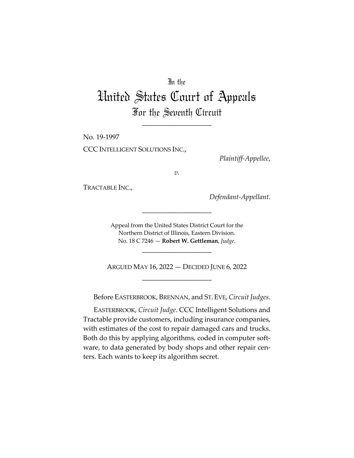## In the

## United States Court of Appeals For the Seventh Circuit

\_\_\_\_\_\_\_\_\_\_\_\_\_\_\_\_\_\_\_\_

No. 19-1997 CCC INTELLIGENT SOLUTIONS INC.,

*Plaintiff-Appellee*,

*v.*

TRACTABLE INC.,

*Defendant-Appellant*.

Appeal from the United States District Court for the Northern District of Illinois, Eastern Division. No. 18 C 7246 — **Robert W. Gettleman**, *Judge*.

\_\_\_\_\_\_\_\_\_\_\_\_\_\_\_\_\_\_\_\_

\_\_\_\_\_\_\_\_\_\_\_\_\_\_\_\_\_\_\_\_

ARGUED MAY 16, 2022 — DECIDED JUNE 6, 2022 \_\_\_\_\_\_\_\_\_\_\_\_\_\_\_\_\_\_\_\_

Before EASTERBROOK, BRENNAN, and ST.EVE, *Circuit Judges*.

EASTERBROOK, *Circuit Judge*. CCC Intelligent Solutions and Tractable provide customers, including insurance companies, with estimates of the cost to repair damaged cars and trucks. Both do this by applying algorithms, coded in computer software, to data generated by body shops and other repair centers. Each wants to keep its algorithm secret.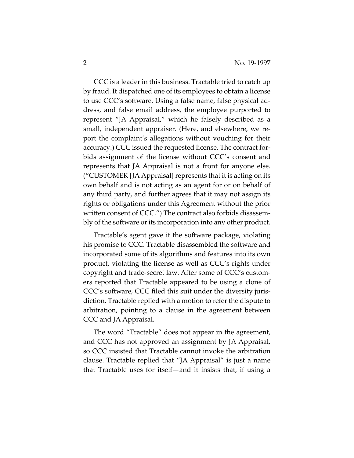CCC is a leader in this business. Tractable tried to catch up by fraud. It dispatched one of its employees to obtain a license to use CCC's software. Using a false name, false physical address, and false email address, the employee purported to represent "JA Appraisal," which he falsely described as a small, independent appraiser. (Here, and elsewhere, we report the complaint's allegations without vouching for their accuracy.) CCC issued the requested license. The contract forbids assignment of the license without CCC's consent and represents that JA Appraisal is not a front for anyone else. ("CUSTOMER [JA Appraisal] represents that it is acting on its own behalf and is not acting as an agent for or on behalf of any third party, and further agrees that it may not assign its rights or obligations under this Agreement without the prior written consent of CCC.") The contract also forbids disassembly of the software or its incorporation into any other product.

Tractable's agent gave it the software package, violating his promise to CCC. Tractable disassembled the software and incorporated some of its algorithms and features into its own product, violating the license as well as CCC's rights under copyright and trade-secret law. After some of CCC's customers reported that Tractable appeared to be using a clone of CCC's software, CCC filed this suit under the diversity jurisdiction. Tractable replied with a motion to refer the dispute to arbitration, pointing to a clause in the agreement between CCC and JA Appraisal.

The word "Tractable" does not appear in the agreement, and CCC has not approved an assignment by JA Appraisal, so CCC insisted that Tractable cannot invoke the arbitration clause. Tractable replied that "JA Appraisal" is just a name that Tractable uses for itself—and it insists that, if using a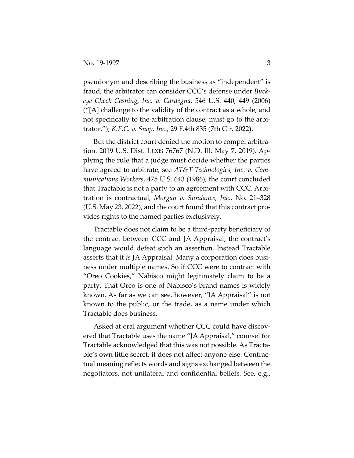pseudonym and describing the business as "independent" is fraud, the arbitrator can consider CCC's defense under *Buckeye Check Cashing, Inc. v. Cardegna*, 546 U.S. 440, 449 (2006) ("[A] challenge to the validity of the contract as a whole, and not specifically to the arbitration clause, must go to the arbitrator."); *K.F.C. v. Snap, Inc*., 29 F.4th 835 (7th Cir. 2022).

But the district court denied the motion to compel arbitration. 2019 U.S. Dist. LEXIS 76767 (N.D. Ill. May 7, 2019). Applying the rule that a judge must decide whether the parties have agreed to arbitrate, see *AT&T Technologies, Inc. v. Communications Workers*, 475 U.S. 643 (1986), the court concluded that Tractable is not a party to an agreement with CCC. Arbitration is contractual, *Morgan v. Sundance, Inc*., No. 21–328 (U.S. May 23, 2022), and the court found that this contract provides rights to the named parties exclusively.

Tractable does not claim to be a third-party beneficiary of the contract between CCC and JA Appraisal; the contract's language would defeat such an assertion. Instead Tractable asserts that it *is* JA Appraisal. Many a corporation does business under multiple names. So if CCC were to contract with "Oreo Cookies," Nabisco might legitimately claim to be a party. That Oreo is one of Nabisco's brand names is widely known. As far as we can see, however, "JA Appraisal" is not known to the public, or the trade, as a name under which Tractable does business.

Asked at oral argument whether CCC could have discovered that Tractable uses the name "JA Appraisal," counsel for Tractable acknowledged that this was not possible. As Tractable's own little secret, it does not affect anyone else. Contractual meaning reflects words and signs exchanged between the negotiators, not unilateral and confidential beliefs. See, e.g.,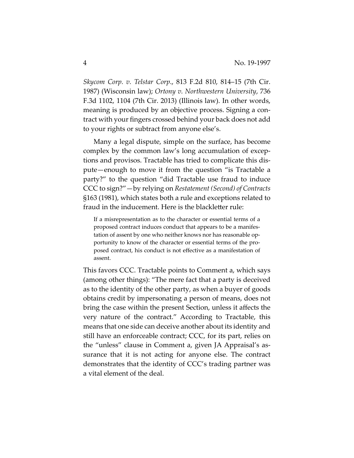*Skycom Corp. v. Telstar Corp*., 813 F.2d 810, 814–15 (7th Cir. 1987) (Wisconsin law); *Ortony v. Northwestern University*, 736 F.3d 1102, 1104 (7th Cir. 2013) (Illinois law). In other words, meaning is produced by an objective process. Signing a contract with your fingers crossed behind your back does not add to your rights or subtract from anyone else's.

Many a legal dispute, simple on the surface, has become complex by the common law's long accumulation of exceptions and provisos. Tractable has tried to complicate this dispute—enough to move it from the question "is Tractable a party?" to the question "did Tractable use fraud to induce CCC to sign?"—by relying on *Restatement (Second) of Contracts* §163 (1981), which states both a rule and exceptions related to fraud in the inducement. Here is the blackletter rule:

If a misrepresentation as to the character or essential terms of a proposed contract induces conduct that appears to be a manifestation of assent by one who neither knows nor has reasonable opportunity to know of the character or essential terms of the proposed contract, his conduct is not effective as a manifestation of assent.

This favors CCC. Tractable points to Comment a, which says (among other things): "The mere fact that a party is deceived as to the identity of the other party, as when a buyer of goods obtains credit by impersonating a person of means, does not bring the case within the present Section, unless it affects the very nature of the contract." According to Tractable, this means that one side can deceive another about its identity and still have an enforceable contract; CCC, for its part, relies on the "unless" clause in Comment a, given JA Appraisal's assurance that it is not acting for anyone else. The contract demonstrates that the identity of CCC's trading partner was a vital element of the deal.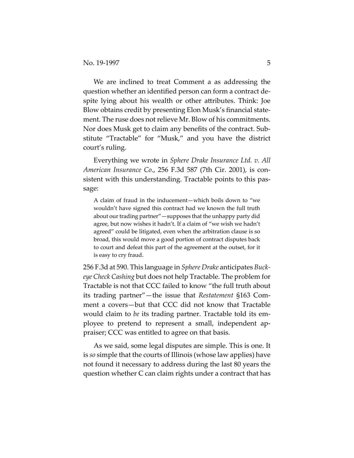We are inclined to treat Comment a as addressing the question whether an identified person can form a contract despite lying about his wealth or other attributes. Think: Joe Blow obtains credit by presenting Elon Musk's financial statement. The ruse does not relieve Mr. Blow of his commitments. Nor does Musk get to claim any benefits of the contract. Substitute "Tractable" for "Musk," and you have the district court's ruling.

Everything we wrote in *Sphere Drake Insurance Ltd. v. All American Insurance Co*., 256 F.3d 587 (7th Cir. 2001), is consistent with this understanding. Tractable points to this passage:

A claim of fraud in the inducement—which boils down to "we wouldn't have signed this contract had we known the full truth about our trading partner"—supposes that the unhappy party did agree, but now wishes it hadn't. If a claim of "we wish we hadn't agreed" could be litigated, even when the arbitration clause is so broad, this would move a good portion of contract disputes back to court and defeat this part of the agreement at the outset, for it is easy to cry fraud.

256 F.3d at 590. This language in *Sphere Drake* anticipates *Buckeye Check Cashing* but does not help Tractable. The problem for Tractable is not that CCC failed to know "the full truth about its trading partner"—the issue that *Restatement* §163 Comment a covers—but that CCC did not know that Tractable would claim to *be* its trading partner. Tractable told its employee to pretend to represent a small, independent appraiser; CCC was entitled to agree on that basis.

As we said, some legal disputes are simple. This is one. It is *so* simple that the courts of Illinois (whose law applies) have not found it necessary to address during the last 80 years the question whether C can claim rights under a contract that has